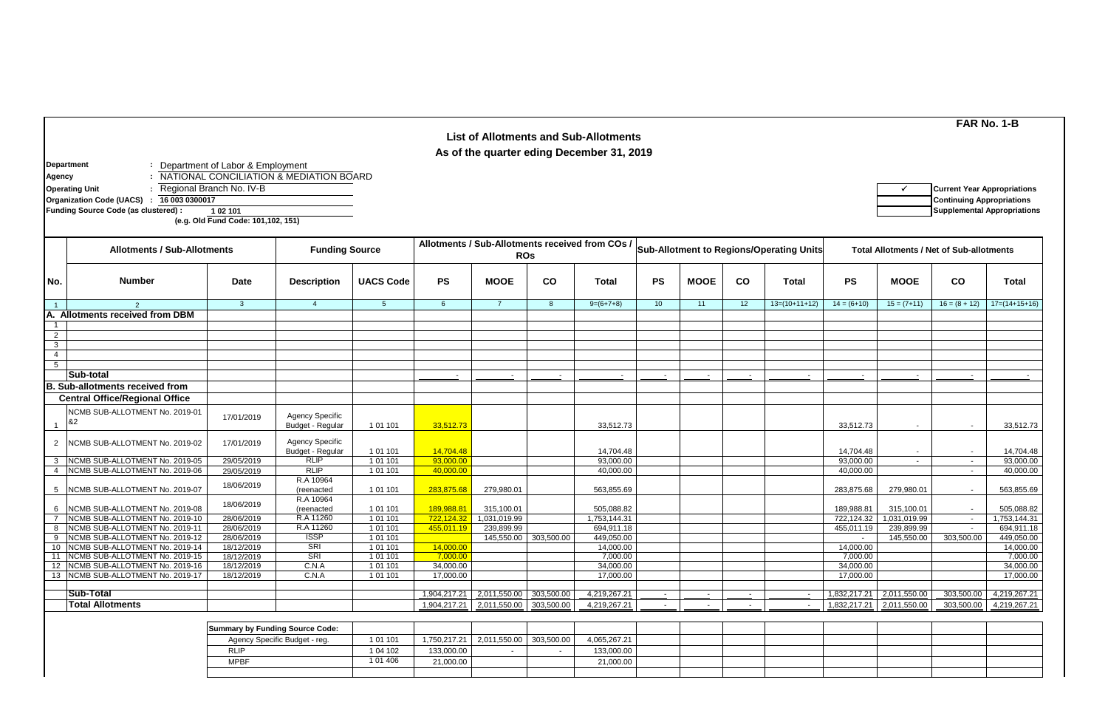## **Department :** Department of Labor & Employment **Agency :** NATIONAL CONCILIATION & MEDIATION BOARD **Operating Unit** the subset of the Regional Branch No. Ⅳ-B P **P All and Appropriations** P **P All and Appropriations Organization Code (UACS) : Continuing Appropriations 16 003 0300017Funding Source Code (as clustered) : 1 02 101 Supplemental Appropriations (e.g. Old Fund Code: 101,102, 151) No. Date Description UACS Code PS MOOE CO Total PS MOOE CO Total PS MOOE CO Total** 1 3 4 5 6 7 8 9=(6+7+8) 10 11 12 13=(10+11+12) 14 = (6+10) 15 = (7+11) 16 = (8 + 12) 17=(14+15+16) 1 2 3 4 5 - - - - - - - - - - - - 1 17/01/2019 Agency Specific<br>Budget - Regular Budget - Regular 1 01 101 33,512.73 33,512.73 33,512.73 - - 33,512.73 2 NCMB SUB-ALLOTMENT No. 2019-02 | 17/01/2019 | Agency Specific Budget - Regular | 101 101 | <mark>14,704.48 |</mark> 14,704.48 | 14,704.48 | 14,704.48 | 14,704.48 | 14,704.48 | 14,704.48 3 NCMB SUB-ALLOTMENT No. 2019-05 29/05/2019 RLIP | 1 01 101 | 93,000.00 | 93,000.00 | | | | | 93,000.00 | | | 93,000.00 4 |NCMB SUB-ALLOTMENT No. 2019-06 | 29/05/2019 | RLIP | 101 101 | 40,000.00 | | | 40,000.00 | | | 40,000.00 | | - | 40,000.00 | | - | 40,000.00 5 18/06/2019 R.A 10964 (reenacted | 1 01 101 <mark>| 283,875.68</mark> 279,980.01 | 563,855.69 | | | | 283,875.68 | 279,980.01 | | 563,855.69 6 18/06/2019 R.A 10964 (reenacted | 1 01 101 <mark>| 189,988.81 </mark>315,100.01 | 505,088.82 | | | | 189,988.81 315,100.01 | | 505,088.82 7 28/06/2019 R.A 11260 1 01 101 722,124.32 1,031,019.99 1,753,144.31 722,124.32 1,031,019.99 - 1,753,144.31 NCMB SUB-ALLOTMENT No. 2019-10 8 NCMB SUB-ALLOTMENT No. 2019-11 | 28/06/2019 | R.A 11260 | 101 101 <mark>| 455,011.19</mark> 239,899.99 | | 694,911.18 | | | | | | | | | 455,011.19 | 239,899.99 | | | 694,911.18 9 NCMB SUB-ALLOTMENT No. 2019-12 | 28/06/2019 | ISSP | 1 01 101 | 145,550.00 | 303,500.00 | 449,050.00 | 449,050.00 | 449,050.00 | 449,050.00 | 449,050.00 | 450,050.00 | 449,050.00 | 450,050.00 | 450,050.00 | 450,050.00 10 |NCMB SUB-ALLOTMENT No. 2019-14 | 18/12/2019 | SRI | 101 101 | 14,000.00 | | 14,000.00 | | | 14,000.00 | | 14,000.00 | | 14,000.00 | | 14,000.00 | | 14,000.00 11 **|NCMB SUB-ALLOTMENT N**o. 2019-15 | 18/12/2019 | SRI | 101 101 <mark>| 7,000.00</mark> | | 7,000.00 | | | | | | | | | 7,000.00 | | | | 7,000.00 12 NCMB SUB-ALLOTMENT No. 2019-16 | 18/12/2019 | C.N.A | 101 101 | 34,000.00 | | 34,000.00 | | | | | | | | 34,000.00 | | | | | | 34,000.00 | | | | | | 34,000.00 13 NCMB SUB-ALLOTMENT No. 2019-17 | 18/12/2019 | C.N.A | 1 01 101 | 17,000.00 | | 17,000.00 | | | 17,000.00 | | 17,000.00 | | 17,000.00 | | 17,000.00 1,904,217.21 2,011,550.00 303,500.00 4,219,267.21 - - - - 1,832,217.21 2,011,550.00 303,500.00 4,219,267.21 1,904,217.21 2,011,550.00 303,500.00 4,219,267.21 - - - - - - - - - - - - - - - - - 1,832,217.21 2,011,550.00 303,500.00 4,219,267.21 **Sub-Total Total Allotments Central Office/Regional Office** NCMB SUB-ALLOTMENT No. 2019-01 &2 NCMB SUB-ALLOTMENT No. 2019-07 NCMB SUB-ALLOTMENT No. 2019-08 **Number** 2 **A. Allotments received from DBM Sub-total B. Sub-allotments received from FAR No. 1-B List of Allotments and Sub-Allotments As of the quarter eding December 31, 2019 Allotments / Sub-Allotments Funding Source Allotments / Sub-Allotments received from COs / Ros Rossetter Englisher Total Allotments / Net of Sub-allotments** / Net of Sub-allotments

| <b>Summary by Funding Source Code:</b> |           |            |                                          |              |  |  |  |  |
|----------------------------------------|-----------|------------|------------------------------------------|--------------|--|--|--|--|
| Agency Specific Budget - reg.          | 101 101   |            | 1,750,217.21   2,011,550.00   303,500.00 | 4,065,267.21 |  |  |  |  |
| RLIP                                   | 104 102   | 133,000.00 |                                          | 133,000.00   |  |  |  |  |
| <b>MPBF</b>                            | 1 01 4 06 | 21,000.00  |                                          | 21,000.00    |  |  |  |  |
|                                        |           |            |                                          |              |  |  |  |  |